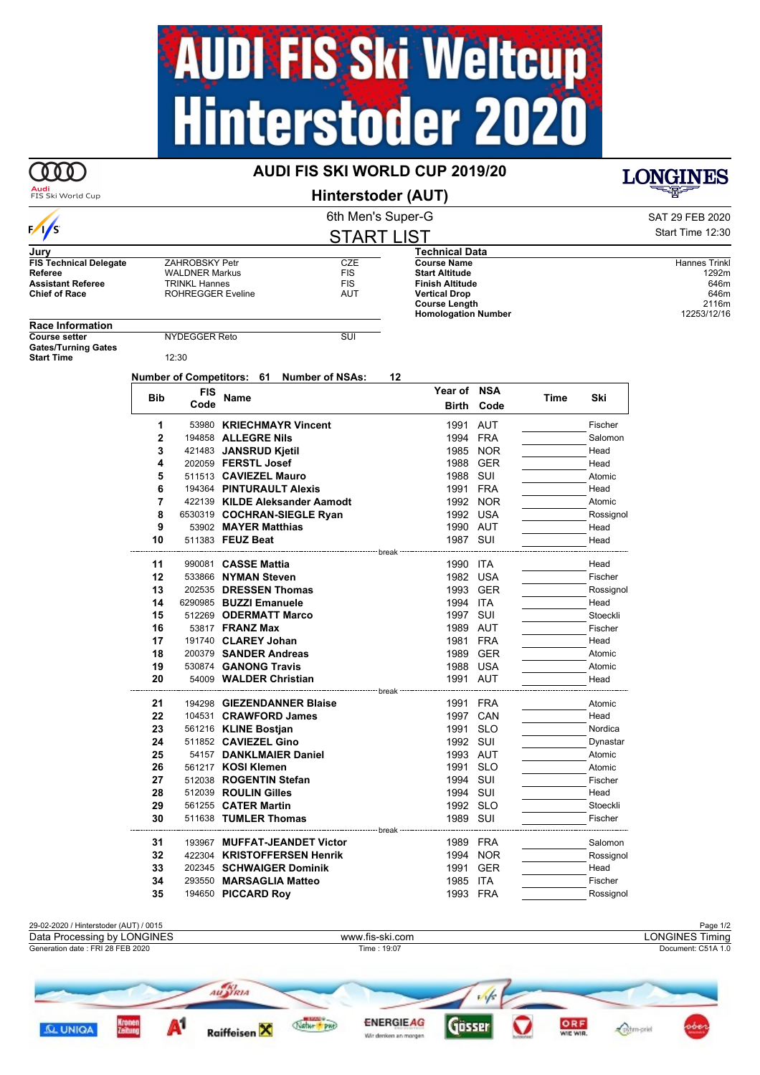## **AUDI FIS Ski Weltcup<br>Hinterstoder 2020**

## **AUDI FIS SKI WORLD CUP 2019/20**

**Audi**<br>FIS Ski World Cup

 $\frac{1}{s}$ 

000

**Hinterstoder (AUT)**

## START LIST

| Jury                          |                          |            | Technical Data             |                      |
|-------------------------------|--------------------------|------------|----------------------------|----------------------|
| <b>FIS Technical Delegate</b> | ZAHROBSKY Petr           | CZE        | <b>Course Name</b>         | <b>Hannes Trinkl</b> |
| Referee                       | <b>WALDNER Markus</b>    | <b>FIS</b> | <b>Start Altitude</b>      | 1292m                |
| <b>Assistant Referee</b>      | TRINKL Hannes            | <b>FIS</b> | <b>Finish Altitude</b>     | 646m                 |
| <b>Chief of Race</b>          | <b>ROHREGGER Eveline</b> | AUT        | <b>Vertical Drop</b>       | 646m                 |
|                               |                          |            | <b>Course Length</b>       | 2116m                |
|                               |                          |            | <b>Homologation Number</b> | 12253/12/16          |
| <b>Daco Information</b>       |                          |            |                            |                      |

**Race Information Gates/Turning Gates**

**Start Time** 12:30

**Number of Competitors: 61 Number of NSAs: 12**

**COURSE SETTER** Reto SUI

| <b>FIS</b><br><b>Bib</b> | <b>Name</b> | Year of NSA                    |                                                      | Time       | Ski |           |
|--------------------------|-------------|--------------------------------|------------------------------------------------------|------------|-----|-----------|
|                          | Code        |                                | <b>Birth</b>                                         | Code       |     |           |
| 1                        |             | 53980 KRIECHMAYR Vincent       | 1991                                                 | <b>AUT</b> |     | Fischer   |
| $\overline{2}$           |             | 194858 ALLEGRE Nils            |                                                      | 1994 FRA   |     | Salomon   |
| 3                        |             | 421483 JANSRUD Kjetil          | 1985                                                 | <b>NOR</b> |     | Head      |
| 4                        |             | 202059 FERSTL Josef            |                                                      | 1988 GER   |     | Head      |
| 5                        |             | 511513 CAVIEZEL Mauro          |                                                      | 1988 SUI   |     | Atomic    |
| 6                        |             | 194364 PINTURAULT Alexis       |                                                      | 1991 FRA   |     | Head      |
| 7                        |             | 422139 KILDE Aleksander Aamodt |                                                      | 1992 NOR   |     | Atomic    |
| 8                        |             | 6530319 COCHRAN-SIEGLE Ryan    |                                                      | 1992 USA   |     | Rossignol |
| 9                        |             | 53902 MAYER Matthias           |                                                      | 1990 AUT   |     | Head      |
| 10                       |             | 511383 FEUZ Beat               | 1987 SUI                                             |            |     | Head      |
|                          |             |                                |                                                      |            |     |           |
| 11                       |             | 990081 CASSE Mattia            | 1990 ITA                                             |            |     | Head      |
| 12                       |             | 533866 NYMAN Steven            |                                                      | 1982 USA   |     | Fischer   |
| 13                       |             | 202535 DRESSEN Thomas          |                                                      | 1993 GER   |     | Rossignol |
| 14                       |             | 6290985 BUZZI Emanuele         | 1994 ITA                                             |            |     | Head      |
| 15                       |             | 512269 ODERMATT Marco          | 1997 SUI                                             |            |     | Stoeckli  |
| 16                       |             | 53817 FRANZ Max                |                                                      | 1989 AUT   |     | Fischer   |
| 17                       |             | 191740 CLAREY Johan            |                                                      | 1981 FRA   |     | Head      |
| 18                       |             | 200379 SANDER Andreas          |                                                      | 1989 GER   |     | Atomic    |
| 19                       |             | 530874 GANONG Travis           |                                                      | 1988 USA   |     | Atomic    |
| 20                       |             | 54009 WALDER Christian         | ----------------- break ---------------------------- | 1991 AUT   |     | Head      |
| 21                       |             | 194298 GIEZENDANNER Blaise     |                                                      | 1991 FRA   |     | Atomic    |
| 22                       |             | 104531 CRAWFORD James          |                                                      | 1997 CAN   |     | Head      |
| 23                       |             | 561216 KLINE Bostian           | 1991                                                 | <b>SLO</b> |     | Nordica   |
| 24                       |             | 511852 CAVIEZEL Gino           |                                                      | 1992 SUI   |     | Dynastar  |
| 25                       |             | 54157 DANKLMAIER Daniel        |                                                      | 1993 AUT   |     | Atomic    |
| 26                       |             | 561217 KOSI Klemen             |                                                      | 1991 SLO   |     | Atomic    |
| 27                       |             | 512038 ROGENTIN Stefan         |                                                      | 1994 SUI   |     | Fischer   |
| 28                       |             | 512039 ROULIN Gilles           |                                                      | 1994 SUI   |     | Head      |
| 29                       |             | 561255 CATER Martin            |                                                      | 1992 SLO   |     | Stoeckli  |
| 30                       |             | 511638 TUMLER Thomas           | 1989 SUI                                             |            |     | Fischer   |
|                          |             |                                | ------------------------------<br>break              |            |     |           |
| 31                       |             | 193967 MUFFAT-JEANDET Victor   |                                                      | 1989 FRA   |     | Salomon   |
| 32                       |             | 422304 KRISTOFFERSEN Henrik    |                                                      | 1994 NOR   |     | Rossignol |
| 33                       |             | 202345 SCHWAIGER Dominik       | 1991                                                 | <b>GER</b> |     | Head      |
| 34                       |             | 293550 MARSAGLIA Matteo        | 1985                                                 | <b>ITA</b> |     | Fischer   |
| 35                       |             | 194650 PICCARD Roy             |                                                      | 1993 FRA   |     | Rossignol |



Wir denken an morger

**LONGINES**